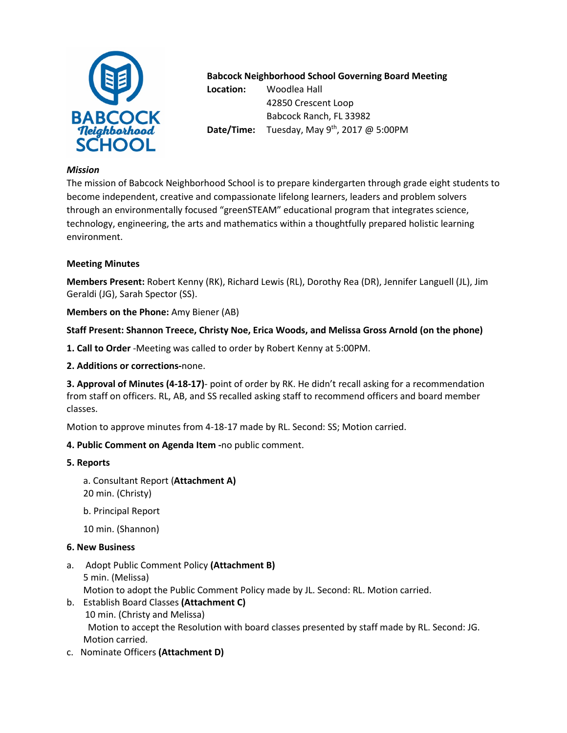

# **Babcock Neighborhood School Governing Board Meeting**

**Location:** Woodlea Hall 42850 Crescent Loop Babcock Ranch, FL 33982 **Date/Time:** Tuesday, May 9<sup>th</sup>, 2017 @ 5:00PM

### *Mission*

The mission of Babcock Neighborhood School is to prepare kindergarten through grade eight students to become independent, creative and compassionate lifelong learners, leaders and problem solvers through an environmentally focused "greenSTEAM" educational program that integrates science, technology, engineering, the arts and mathematics within a thoughtfully prepared holistic learning environment.

## **Meeting Minutes**

**Members Present:** Robert Kenny (RK), Richard Lewis (RL), Dorothy Rea (DR), Jennifer Languell (JL), Jim Geraldi (JG), Sarah Spector (SS).

**Members on the Phone:** Amy Biener (AB)

## **Staff Present: Shannon Treece, Christy Noe, Erica Woods, and Melissa Gross Arnold (on the phone)**

**1. Call to Order** -Meeting was called to order by Robert Kenny at 5:00PM.

### **2. Additions or corrections-**none.

**3. Approval of Minutes (4-18-17)**- point of order by RK. He didn't recall asking for a recommendation from staff on officers. RL, AB, and SS recalled asking staff to recommend officers and board member classes.

Motion to approve minutes from 4-18-17 made by RL. Second: SS; Motion carried.

# **4. Public Comment on Agenda Item -**no public comment.

### **5. Reports**

- a. Consultant Report (**Attachment A)** 20 min. (Christy)
- b. Principal Report
- 10 min. (Shannon)

### **6. New Business**

- a. Adopt Public Comment Policy **(Attachment B)**  5 min. (Melissa) Motion to adopt the Public Comment Policy made by JL. Second: RL. Motion carried.
- b. Establish Board Classes **(Attachment C)**  10 min. (Christy and Melissa) Motion to accept the Resolution with board classes presented by staff made by RL. Second: JG. Motion carried.
- c. Nominate Officers **(Attachment D)**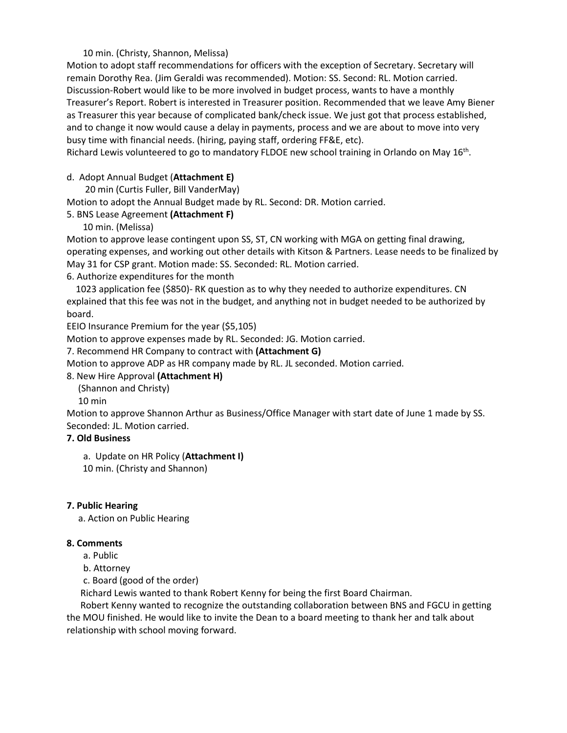## 10 min. (Christy, Shannon, Melissa)

Motion to adopt staff recommendations for officers with the exception of Secretary. Secretary will remain Dorothy Rea. (Jim Geraldi was recommended). Motion: SS. Second: RL. Motion carried. Discussion-Robert would like to be more involved in budget process, wants to have a monthly Treasurer's Report. Robert is interested in Treasurer position. Recommended that we leave Amy Biener as Treasurer this year because of complicated bank/check issue. We just got that process established, and to change it now would cause a delay in payments, process and we are about to move into very busy time with financial needs. (hiring, paying staff, ordering FF&E, etc).

Richard Lewis volunteered to go to mandatory FLDOE new school training in Orlando on May 16<sup>th</sup>.

### d. Adopt Annual Budget (**Attachment E)**

20 min (Curtis Fuller, Bill VanderMay)

Motion to adopt the Annual Budget made by RL. Second: DR. Motion carried.

## 5. BNS Lease Agreement **(Attachment F)**

10 min. (Melissa)

Motion to approve lease contingent upon SS, ST, CN working with MGA on getting final drawing, operating expenses, and working out other details with Kitson & Partners. Lease needs to be finalized by May 31 for CSP grant. Motion made: SS. Seconded: RL. Motion carried.

6. Authorize expenditures for the month

 1023 application fee (\$850)- RK question as to why they needed to authorize expenditures. CN explained that this fee was not in the budget, and anything not in budget needed to be authorized by board.

EEIO Insurance Premium for the year (\$5,105)

Motion to approve expenses made by RL. Seconded: JG. Motion carried.

7. Recommend HR Company to contract with **(Attachment G)**

Motion to approve ADP as HR company made by RL. JL seconded. Motion carried.

### 8. New Hire Approval **(Attachment H)**

(Shannon and Christy)

10 min

Motion to approve Shannon Arthur as Business/Office Manager with start date of June 1 made by SS. Seconded: JL. Motion carried.

### **7. Old Business**

a. Update on HR Policy (**Attachment I)** 10 min. (Christy and Shannon)

### **7. Public Hearing**

a. Action on Public Hearing

### **8. Comments**

a. Public

b. Attorney

c. Board (good of the order)

Richard Lewis wanted to thank Robert Kenny for being the first Board Chairman.

 Robert Kenny wanted to recognize the outstanding collaboration between BNS and FGCU in getting the MOU finished. He would like to invite the Dean to a board meeting to thank her and talk about relationship with school moving forward.